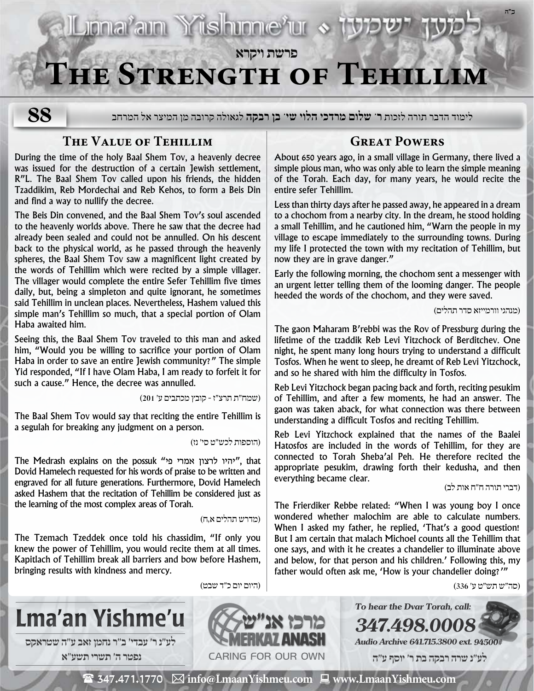# Luonaram Yishunnerur & **פרשת ויקרא The Strength of Tehillim**

לימוד הדבר תורה לזכות **ר' שלום מרדכי הלוי שי' בן רבקה** לגאולה קרובה מן המיצר אל המרחב

## **The Value of Tehillim**

**88**

During the time of the holy Baal Shem Tov, a heavenly decree was issued for the destruction of a certain Jewish settlement, R"L. The Baal Shem Tov called upon his friends, the hidden Tzaddikim, Reb Mordechai and Reb Kehos, to form a Beis Din and find a way to nullify the decree.

The Beis Din convened, and the Baal Shem Tov's soul ascended to the heavenly worlds above. There he saw that the decree had already been sealed and could not be annulled. On his descent back to the physical world, as he passed through the heavenly spheres, the Baal Shem Tov saw a magnificent light created by the words of Tehillim which were recited by a simple villager. The villager would complete the entire Sefer Tehillim five times daily, but, being a simpleton and quite ignorant, he sometimes said Tehillim in unclean places. Nevertheless, Hashem valued this simple man's Tehillim so much, that a special portion of Olam Haba awaited him.

Seeing this, the Baal Shem Tov traveled to this man and asked him, "Would you be willing to sacrifice your portion of Olam Haba in order to save an entire Jewish community?" The simple Yid responded, "If I have Olam Haba, I am ready to forfeit it for such a cause." Hence, the decree was annulled.

)שמח״ת תרצ״ז - קובץ מכתבים ע׳ 201(

The Baal Shem Tov would say that reciting the entire Tehillim is a segulah for breaking any judgment on a person.

)הוספות לכש״ט סי׳ נז(

The Medrash explains on the possuk "יהיו לרצון אמרי פי", that Dovid Hamelech requested for his words of praise to be written and engraved for all future generations. Furthermore, Dovid Hamelech asked Hashem that the recitation of Tehillim be considered just as the learning of the most complex areas of Torah.

### )מדרש תהלים א,ח(

The Tzemach Tzeddek once told his chassidim, "If only you knew the power of Tehillim, you would recite them at all times. Kapitlach of Tehillim break all barriers and bow before Hashem, bringing results with kindness and mercy.

### **Great Powers**

About 650 years ago, in a small village in Germany, there lived a simple pious man, who was only able to learn the simple meaning of the Torah. Each day, for many years, he would recite the entire sefer Tehillim.

Less than thirty days after he passed away, he appeared in a dream to a chochom from a nearby city. In the dream, he stood holding a small Tehillim, and he cautioned him, "Warn the people in my village to escape immediately to the surrounding towns. During my life I protected the town with my recitation of Tehillim, but now they are in grave danger."

Early the following morning, the chochom sent a messenger with an urgent letter telling them of the looming danger. The people heeded the words of the chochom, and they were saved.

)מנהגי וורמייזא סדר תהלים(

**ב"ה**

The gaon Maharam B'rebbi was the Rov of Pressburg during the lifetime of the tzaddik Reb Levi Yitzchock of Berditchev. One night, he spent many long hours trying to understand a difficult Tosfos. When he went to sleep, he dreamt of Reb Levi Yitzchock, and so he shared with him the difficulty in Tosfos.

Reb Levi Yitzchock began pacing back and forth, reciting pesukim of Tehillim, and after a few moments, he had an answer. The gaon was taken aback, for what connection was there between understanding a difficult Tosfos and reciting Tehillim.

Reb Levi Yitzchock explained that the names of the Baalei Hatosfos are included in the words of Tehillim, for they are connected to Torah Sheba'al Peh. He therefore recited the appropriate pesukim, drawing forth their kedusha, and then everything became clear.<br>דברי תורה ח״ח אות לב)

The Frierdiker Rebbe related: "When I was young boy I once wondered whether malochim are able to calculate numbers. When I asked my father, he replied, 'That's a good question! But I am certain that malach Michoel counts all the Tehillim that one says, and with it he creates a chandelier to illuminate above and below, for that person and his children.' Following this, my father would often ask me, 'How is your chandelier doing?'"

**To hear the Dvar Torah, call:**

**Audio Archive 641.715.3800 ext. 94500# לע"נ שרה רבקה בת ר׳ יוסף ע"ה**

**347.498.00** 

)סה״ש תש״ט ע׳ 336(



 $\mathbf{\mathcal{F}}$  347.471.1770  $\ \boxtimes$  info@LmaanYishmeu.com  $\ \blacksquare$  www.LmaanYishmeu.com

)היום יום כ״ד שבט(